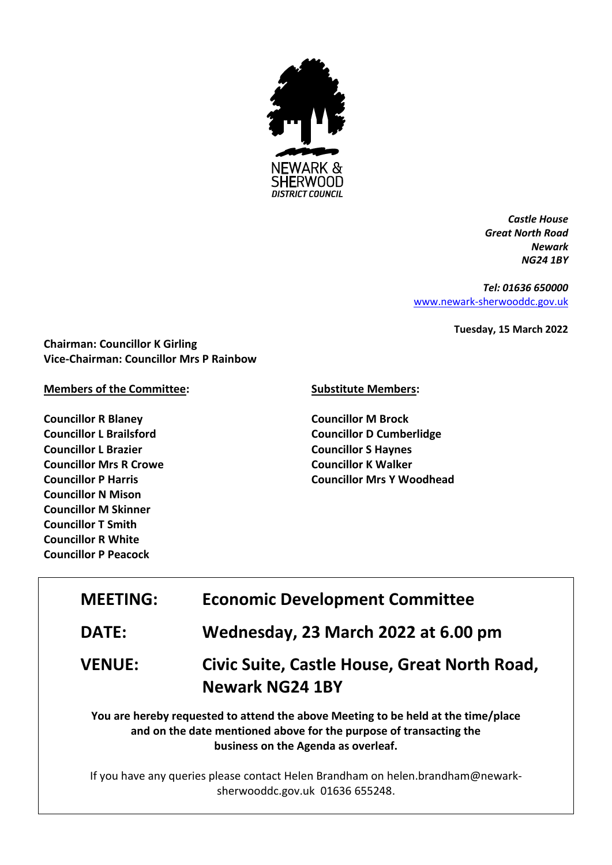

*Castle House Great North Road Newark NG24 1BY*

*Tel: 01636 650000* [www.newark-sherwooddc.gov.uk](http://www.newark-sherwooddc.gov.uk/)

**Tuesday, 15 March 2022**

**Chairman: Councillor K Girling Vice-Chairman: Councillor Mrs P Rainbow**

## **Members of the Committee:**

**Councillor R Blaney Councillor L Brailsford Councillor L Brazier Councillor Mrs R Crowe Councillor P Harris Councillor N Mison Councillor M Skinner Councillor T Smith Councillor R White Councillor P Peacock**

## **Substitute Members:**

**Councillor M Brock Councillor D Cumberlidge Councillor S Haynes Councillor K Walker Councillor Mrs Y Woodhead**

| <b>MEETING:</b> | <b>Economic Development Committee</b>                                                                                                                                                          |  |
|-----------------|------------------------------------------------------------------------------------------------------------------------------------------------------------------------------------------------|--|
| <b>DATE:</b>    | Wednesday, 23 March 2022 at 6.00 pm                                                                                                                                                            |  |
| <b>VENUE:</b>   | Civic Suite, Castle House, Great North Road,<br><b>Newark NG24 1BY</b>                                                                                                                         |  |
|                 | You are hereby requested to attend the above Meeting to be held at the time/place<br>and on the date mentioned above for the purpose of transacting the<br>business on the Agenda as overleaf. |  |

If you have any queries please contact Helen Brandham on helen.brandham@newarksherwooddc.gov.uk 01636 655248.